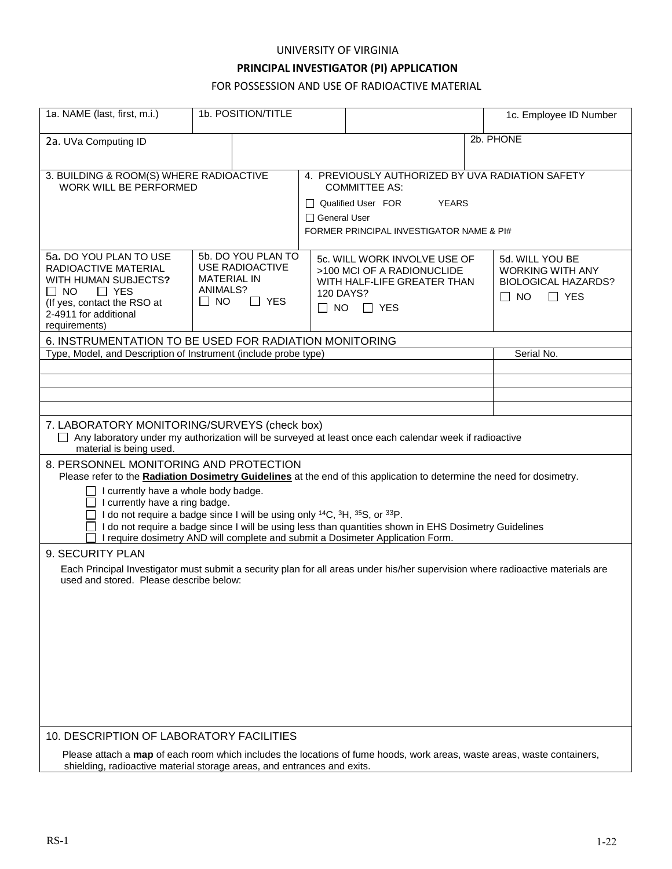#### UNIVERSITY OF VIRGINIA

# **PRINCIPAL INVESTIGATOR (PI) APPLICATION**

## FOR POSSESSION AND USE OF RADIOACTIVE MATERIAL

| 1a. NAME (last, first, m.i.)                                                                                                                                                                                                                                                                                                                                  |                                                                                                    | 1b. POSITION/TITLE |                                                                                                                                                                                          |  |  | 1c. Employee ID Number                                                                              |  |
|---------------------------------------------------------------------------------------------------------------------------------------------------------------------------------------------------------------------------------------------------------------------------------------------------------------------------------------------------------------|----------------------------------------------------------------------------------------------------|--------------------|------------------------------------------------------------------------------------------------------------------------------------------------------------------------------------------|--|--|-----------------------------------------------------------------------------------------------------|--|
| 2a. UVa Computing ID                                                                                                                                                                                                                                                                                                                                          |                                                                                                    |                    |                                                                                                                                                                                          |  |  | 2b. PHONE                                                                                           |  |
| 3. BUILDING & ROOM(S) WHERE RADIOACTIVE<br>WORK WILL BE PERFORMED                                                                                                                                                                                                                                                                                             |                                                                                                    |                    | 4. PREVIOUSLY AUTHORIZED BY UVA RADIATION SAFETY<br><b>COMMITTEE AS:</b><br>$\Box$ Qualified User FOR<br><b>YEARS</b><br>$\Box$ General User<br>FORMER PRINCIPAL INVESTIGATOR NAME & PI# |  |  |                                                                                                     |  |
| 5a. DO YOU PLAN TO USE<br>RADIOACTIVE MATERIAL<br>WITH HUMAN SUBJECTS?<br>$\Box$ YES<br>IINO.<br>(If yes, contact the RSO at<br>2-4911 for additional<br>requirements)                                                                                                                                                                                        | 5b. DO YOU PLAN TO<br><b>USE RADIOACTIVE</b><br><b>MATERIAL IN</b><br>ANIMALS?<br>$\Box$ No<br>YES |                    | 5c. WILL WORK INVOLVE USE OF<br>>100 MCI OF A RADIONUCLIDE<br>WITH HALF-LIFE GREATER THAN<br>120 DAYS?<br>$\Box$ NO $\Box$ YES                                                           |  |  | 5d. WILL YOU BE<br><b>WORKING WITH ANY</b><br><b>BIOLOGICAL HAZARDS?</b><br>$\Box$ No<br>$\Box$ YES |  |
| 6. INSTRUMENTATION TO BE USED FOR RADIATION MONITORING                                                                                                                                                                                                                                                                                                        |                                                                                                    |                    |                                                                                                                                                                                          |  |  |                                                                                                     |  |
| Type, Model, and Description of Instrument (include probe type)                                                                                                                                                                                                                                                                                               |                                                                                                    |                    |                                                                                                                                                                                          |  |  | Serial No.                                                                                          |  |
|                                                                                                                                                                                                                                                                                                                                                               |                                                                                                    |                    |                                                                                                                                                                                          |  |  |                                                                                                     |  |
|                                                                                                                                                                                                                                                                                                                                                               |                                                                                                    |                    |                                                                                                                                                                                          |  |  |                                                                                                     |  |
|                                                                                                                                                                                                                                                                                                                                                               |                                                                                                    |                    |                                                                                                                                                                                          |  |  |                                                                                                     |  |
| 7. LABORATORY MONITORING/SURVEYS (check box)<br>□ Any laboratory under my authorization will be surveyed at least once each calendar week if radioactive<br>material is being used.                                                                                                                                                                           |                                                                                                    |                    |                                                                                                                                                                                          |  |  |                                                                                                     |  |
| 8. PERSONNEL MONITORING AND PROTECTION<br>Please refer to the Radiation Dosimetry Guidelines at the end of this application to determine the need for dosimetry.<br>$\Box$ I currently have a whole body badge.<br>$\Box$ I currently have a ring badge.<br>I do not require a badge since I will be using only $^{14}C$ , $^{3}H$ , $^{35}S$ , or $^{33}P$ . |                                                                                                    |                    |                                                                                                                                                                                          |  |  |                                                                                                     |  |
| □ I do not require a badge since I will be using less than quantities shown in EHS Dosimetry Guidelines<br>I require dosimetry AND will complete and submit a Dosimeter Application Form.                                                                                                                                                                     |                                                                                                    |                    |                                                                                                                                                                                          |  |  |                                                                                                     |  |
| 9. SECURITY PLAN                                                                                                                                                                                                                                                                                                                                              |                                                                                                    |                    |                                                                                                                                                                                          |  |  |                                                                                                     |  |
| Each Principal Investigator must submit a security plan for all areas under his/her supervision where radioactive materials are<br>used and stored. Please describe below:                                                                                                                                                                                    |                                                                                                    |                    |                                                                                                                                                                                          |  |  |                                                                                                     |  |
|                                                                                                                                                                                                                                                                                                                                                               |                                                                                                    |                    |                                                                                                                                                                                          |  |  |                                                                                                     |  |
|                                                                                                                                                                                                                                                                                                                                                               |                                                                                                    |                    |                                                                                                                                                                                          |  |  |                                                                                                     |  |
|                                                                                                                                                                                                                                                                                                                                                               |                                                                                                    |                    |                                                                                                                                                                                          |  |  |                                                                                                     |  |
|                                                                                                                                                                                                                                                                                                                                                               |                                                                                                    |                    |                                                                                                                                                                                          |  |  |                                                                                                     |  |
| 10. DESCRIPTION OF LABORATORY FACILITIES                                                                                                                                                                                                                                                                                                                      |                                                                                                    |                    |                                                                                                                                                                                          |  |  |                                                                                                     |  |
| Please attach a map of each room which includes the locations of fume hoods, work areas, waste areas, waste containers,<br>shielding, radioactive material storage areas, and entrances and exits.                                                                                                                                                            |                                                                                                    |                    |                                                                                                                                                                                          |  |  |                                                                                                     |  |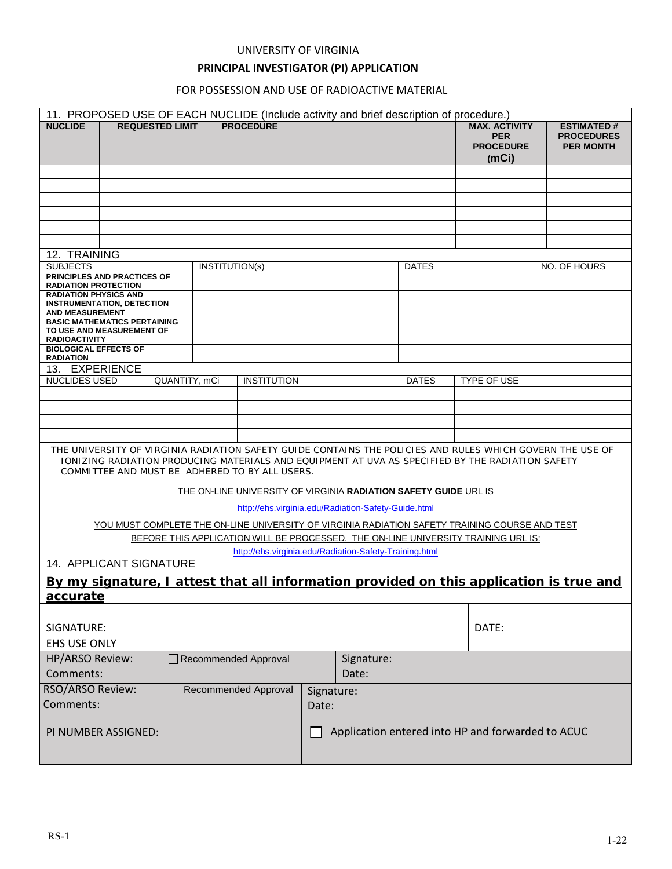#### UNIVERSITY OF VIRGINIA

# **PRINCIPAL INVESTIGATOR (PI) APPLICATION**

### FOR POSSESSION AND USE OF RADIOACTIVE MATERIAL

|                                                                                                                                                                                                                                                                 | 11. PROPOSED USE OF EACH NUCLIDE (Include activity and brief description of procedure.) |                        |                                                   |                     |  |       |              |                                                                 |                                                            |
|-----------------------------------------------------------------------------------------------------------------------------------------------------------------------------------------------------------------------------------------------------------------|-----------------------------------------------------------------------------------------|------------------------|---------------------------------------------------|---------------------|--|-------|--------------|-----------------------------------------------------------------|------------------------------------------------------------|
| <b>NUCLIDE</b>                                                                                                                                                                                                                                                  |                                                                                         | <b>REQUESTED LIMIT</b> |                                                   | <b>PROCEDURE</b>    |  |       |              | <b>MAX. ACTIVITY</b><br><b>PER</b><br><b>PROCEDURE</b><br>(mCi) | <b>ESTIMATED#</b><br><b>PROCEDURES</b><br><b>PER MONTH</b> |
|                                                                                                                                                                                                                                                                 |                                                                                         |                        |                                                   |                     |  |       |              |                                                                 |                                                            |
|                                                                                                                                                                                                                                                                 |                                                                                         |                        |                                                   |                     |  |       |              |                                                                 |                                                            |
|                                                                                                                                                                                                                                                                 |                                                                                         |                        |                                                   |                     |  |       |              |                                                                 |                                                            |
|                                                                                                                                                                                                                                                                 |                                                                                         |                        |                                                   |                     |  |       |              |                                                                 |                                                            |
|                                                                                                                                                                                                                                                                 |                                                                                         |                        |                                                   |                     |  |       |              |                                                                 |                                                            |
|                                                                                                                                                                                                                                                                 |                                                                                         |                        |                                                   |                     |  |       |              |                                                                 |                                                            |
| 12. TRAINING                                                                                                                                                                                                                                                    |                                                                                         |                        |                                                   |                     |  |       |              |                                                                 |                                                            |
| <b>SUBJECTS</b>                                                                                                                                                                                                                                                 |                                                                                         |                        | <b>INSTITUTION(s)</b>                             |                     |  |       | <b>DATES</b> |                                                                 | NO. OF HOURS                                               |
| PRINCIPLES AND PRACTICES OF<br><b>RADIATION PROTECTION</b>                                                                                                                                                                                                      |                                                                                         |                        |                                                   |                     |  |       |              |                                                                 |                                                            |
| <b>RADIATION PHYSICS AND</b><br><b>INSTRUMENTATION, DETECTION</b><br><b>AND MEASUREMENT</b>                                                                                                                                                                     |                                                                                         |                        |                                                   |                     |  |       |              |                                                                 |                                                            |
| <b>BASIC MATHEMATICS PERTAINING</b>                                                                                                                                                                                                                             |                                                                                         |                        |                                                   |                     |  |       |              |                                                                 |                                                            |
| TO USE AND MEASUREMENT OF<br><b>RADIOACTIVITY</b>                                                                                                                                                                                                               |                                                                                         |                        |                                                   |                     |  |       |              |                                                                 |                                                            |
| <b>BIOLOGICAL EFFECTS OF</b><br><b>RADIATION</b>                                                                                                                                                                                                                |                                                                                         |                        |                                                   |                     |  |       |              |                                                                 |                                                            |
| 13. EXPERIENCE                                                                                                                                                                                                                                                  |                                                                                         |                        |                                                   |                     |  |       |              |                                                                 |                                                            |
| <b>NUCLIDES USED</b>                                                                                                                                                                                                                                            |                                                                                         | QUANTITY, mCi          |                                                   | <b>INSTITUTION</b>  |  |       | <b>DATES</b> | TYPE OF USE                                                     |                                                            |
|                                                                                                                                                                                                                                                                 |                                                                                         |                        |                                                   |                     |  |       |              |                                                                 |                                                            |
|                                                                                                                                                                                                                                                                 |                                                                                         |                        |                                                   |                     |  |       |              |                                                                 |                                                            |
|                                                                                                                                                                                                                                                                 |                                                                                         |                        |                                                   |                     |  |       |              |                                                                 |                                                            |
|                                                                                                                                                                                                                                                                 |                                                                                         |                        |                                                   |                     |  |       |              |                                                                 |                                                            |
| THE UNIVERSITY OF VIRGINIA RADIATION SAFETY GUIDE CONTAINS THE POLICIES AND RULES WHICH GOVERN THE USE OF<br>TONIZING RADIATION PRODUCING MATERIALS AND EQUIPMENT AT UVA AS SPECIFIED BY THE RADIATION SAFETY<br>COMMITTEE AND MUST BE ADHERED TO BY ALL USERS. |                                                                                         |                        |                                                   |                     |  |       |              |                                                                 |                                                            |
| THE ON-LINE UNIVERSITY OF VIRGINIA RADIATION SAFETY GUIDE URL IS                                                                                                                                                                                                |                                                                                         |                        |                                                   |                     |  |       |              |                                                                 |                                                            |
| http://ehs.virginia.edu/Radiation-Safety-Guide.html                                                                                                                                                                                                             |                                                                                         |                        |                                                   |                     |  |       |              |                                                                 |                                                            |
| YOU MUST COMPLETE THE ON-LINE UNIVERSITY OF VIRGINIA RADIATION SAFETY TRAINING COURSE AND TEST                                                                                                                                                                  |                                                                                         |                        |                                                   |                     |  |       |              |                                                                 |                                                            |
| BEFORE THIS APPLICATION WILL BE PROCESSED. THE ON-LINE UNIVERSITY TRAINING URL IS:                                                                                                                                                                              |                                                                                         |                        |                                                   |                     |  |       |              |                                                                 |                                                            |
| http://ehs.virginia.edu/Radiation-Safety-Training.html                                                                                                                                                                                                          |                                                                                         |                        |                                                   |                     |  |       |              |                                                                 |                                                            |
| 14. APPLICANT SIGNATURE                                                                                                                                                                                                                                         |                                                                                         |                        |                                                   |                     |  |       |              |                                                                 |                                                            |
| By my signature, I attest that all information provided on this application is true and                                                                                                                                                                         |                                                                                         |                        |                                                   |                     |  |       |              |                                                                 |                                                            |
| accurate                                                                                                                                                                                                                                                        |                                                                                         |                        |                                                   |                     |  |       |              |                                                                 |                                                            |
|                                                                                                                                                                                                                                                                 |                                                                                         |                        |                                                   |                     |  |       |              |                                                                 |                                                            |
| SIGNATURE:                                                                                                                                                                                                                                                      |                                                                                         |                        |                                                   |                     |  |       |              | DATE:                                                           |                                                            |
| <b>EHS USE ONLY</b>                                                                                                                                                                                                                                             |                                                                                         |                        |                                                   |                     |  |       |              |                                                                 |                                                            |
| HP/ARSO Review:<br>Signature:<br>Recommended Approval                                                                                                                                                                                                           |                                                                                         |                        |                                                   |                     |  |       |              |                                                                 |                                                            |
| Comments:                                                                                                                                                                                                                                                       |                                                                                         |                        |                                                   |                     |  | Date: |              |                                                                 |                                                            |
| <b>RSO/ARSO Review:</b><br>Recommended Approval                                                                                                                                                                                                                 |                                                                                         |                        |                                                   |                     |  |       |              |                                                                 |                                                            |
| Comments:                                                                                                                                                                                                                                                       |                                                                                         |                        |                                                   | Signature:<br>Date: |  |       |              |                                                                 |                                                            |
|                                                                                                                                                                                                                                                                 |                                                                                         |                        |                                                   |                     |  |       |              |                                                                 |                                                            |
| PI NUMBER ASSIGNED:                                                                                                                                                                                                                                             |                                                                                         |                        | Application entered into HP and forwarded to ACUC |                     |  |       |              |                                                                 |                                                            |
|                                                                                                                                                                                                                                                                 |                                                                                         |                        |                                                   |                     |  |       |              |                                                                 |                                                            |